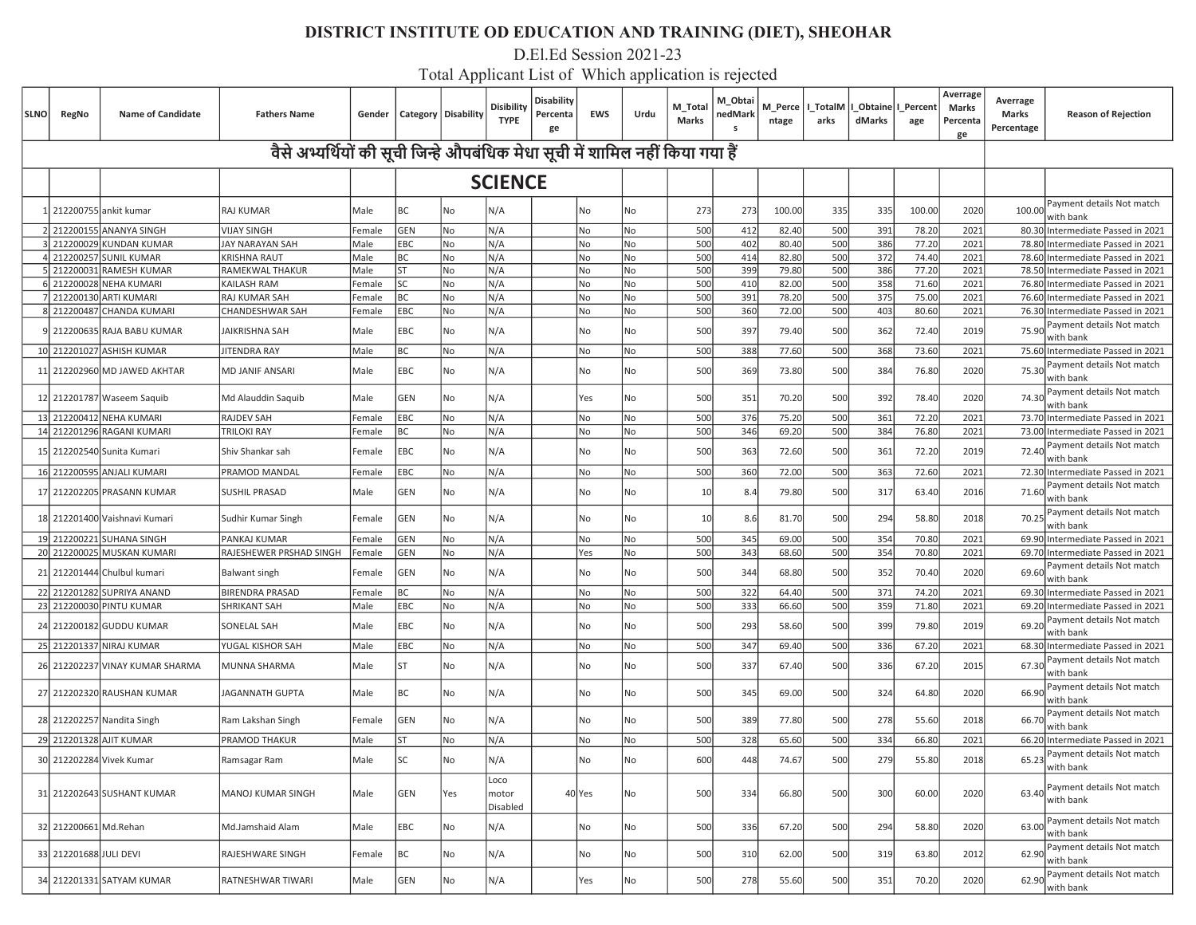D.El.Ed Session 2021-23

| <b>SLNO</b> | RegNo                  | <b>Name of Candidate</b>        | <b>Fathers Name</b>     | Gender |                                                                               | Category   Disability | Disibility<br><b>TYPE</b> | Disability<br>Percenta<br>ge | <b>EWS</b> | Urdu | M_Total<br>Marks | M_Obtai<br>nedMark<br>s | ntage  | arks | M_Perce   I_TotalM   I_Obtaine   I_Percen<br>dMarks | age    | Averrage<br>Marks<br>Percenta<br>ge | Averrage<br>Marks<br>Percentage | <b>Reason of Rejection</b>             |
|-------------|------------------------|---------------------------------|-------------------------|--------|-------------------------------------------------------------------------------|-----------------------|---------------------------|------------------------------|------------|------|------------------|-------------------------|--------|------|-----------------------------------------------------|--------|-------------------------------------|---------------------------------|----------------------------------------|
|             |                        |                                 |                         |        | वैसे अभ्यर्थियों की सूची जिन्हे औपबंधिक मेधा सूची में शामिल नहीं किया गया हैं |                       |                           |                              |            |      |                  |                         |        |      |                                                     |        |                                     |                                 |                                        |
|             |                        |                                 |                         |        |                                                                               |                       | <b>SCIENCE</b>            |                              |            |      |                  |                         |        |      |                                                     |        |                                     |                                 |                                        |
|             |                        | 1 212200755 ankit kumar         | RAJ KUMAR               | Male   | ВC                                                                            | No                    | N/A                       |                              | No         | No   | 273              | 273                     | 100.00 | 335  | 335                                                 | 100.00 | 2020                                | 100.00                          | Payment details Not match<br>with bank |
|             |                        | 2 212200155 ANANYA SINGH        | <b>VIJAY SINGH</b>      | Female | <b>GEN</b>                                                                    | No                    | N/A                       |                              | No         | No   | 500              | 412                     | 82.40  | 500  | 391                                                 | 78.20  | 2021                                |                                 | 80.30 Intermediate Passed in 2021      |
|             |                        | 3 212200029 KUNDAN KUMAR        | JAY NARAYAN SAH         | Male   | EBC                                                                           | No                    | N/A                       |                              | No         | No   | 500              | 402                     | 80.40  | 500  | 386                                                 | 77.20  | 2021                                | 78.80                           | Intermediate Passed in 2021            |
|             |                        | 4 212200257 SUNIL KUMAR         | <b>KRISHNA RAUT</b>     | Male   | ВC                                                                            | No                    | N/A                       |                              | No         | No   | 500              | 414                     | 82.80  | 500  | 372                                                 | 74.40  | 2021                                |                                 | 78.60 Intermediate Passed in 2021      |
|             |                        | 5 212200031 RAMESH KUMAR        | RAMEKWAL THAKUR         | Male   | <b>ST</b>                                                                     | No                    | N/A                       |                              | No         | No   | 500              | 399                     | 79.80  | 500  | 386                                                 | 77.20  | 2021                                |                                 | 78.50 Intermediate Passed in 2021      |
|             |                        | 6 212200028 NEHA KUMARI         | KAILASH RAM             | Female | SC                                                                            | No                    | N/A                       |                              | No         | No   | 500              | 410                     | 82.00  | 500  | 358                                                 | 71.60  | 2021                                |                                 | 76.80 Intermediate Passed in 2021      |
|             |                        | 7 212200130 ARTI KUMARI         | RAJ KUMAR SAH           | Female | ВC                                                                            | No                    | N/A                       |                              | No         | No   | 500              | 391                     | 78.20  | 500  | 375                                                 | 75.00  | 2021                                |                                 | 76.60 Intermediate Passed in 2021      |
|             |                        | 8 212200487 CHANDA KUMARI       | CHANDESHWAR SAH         | Female | EBC                                                                           | No                    | N/A                       |                              | No         | No   | 500              | 360                     | 72.00  | 500  | 403                                                 | 80.60  | 2021                                |                                 | 76.30 Intermediate Passed in 2021      |
|             |                        | 9 212200635 RAJA BABU KUMAR     | JAIKRISHNA SAH          | Male   | EBC                                                                           | No                    | N/A                       |                              | No         | No   | 500              | 397                     | 79.40  | 500  | 362                                                 | 72.40  | 2019                                | 75.90                           | Payment details Not match<br>with bank |
|             |                        | 10 212201027 ASHISH KUMAR       | JITENDRA RAY            | Male   | ВC                                                                            | No                    | N/A                       |                              | No         | No   | 500              | 388                     | 77.60  | 500  | 368                                                 | 73.60  | 2021                                |                                 | 75.60 Intermediate Passed in 2021      |
|             |                        | 11 212202960 MD JAWED AKHTAR    | MD JANIF ANSARI         | Male   | EBC                                                                           | No                    | N/A                       |                              | No         | No   | 500              | 369                     | 73.80  | 500  | 384                                                 | 76.80  | 2020                                | 75.30                           | Payment details Not match<br>with bank |
|             |                        | 12 212201787 Waseem Saquib      | Md Alauddin Saquib      | Male   | GEN                                                                           | No                    | N/A                       |                              | Yes        | No   | 500              | 351                     | 70.20  | 500  | 392                                                 | 78.40  | 2020                                | 74.30                           | Payment details Not match<br>with bank |
|             |                        | 13 212200412 NEHA KUMARI        | <b>RAJDEV SAH</b>       | Female | EBC                                                                           | No                    | N/A                       |                              | No         | No   | 500              | 376                     | 75.20  | 500  | 361                                                 | 72.20  | 2021                                |                                 | 73.70 Intermediate Passed in 2021      |
|             |                        | 14 212201296 RAGANI KUMARI      | <b>TRILOKI RAY</b>      | Female | ВC                                                                            | No                    | N/A                       |                              | No         | No   | 500              | 346                     | 69.20  | 500  | 384                                                 | 76.80  | 2021                                | 73.00                           | Intermediate Passed in 2021            |
|             |                        | 15 212202540 Sunita Kumari      | Shiv Shankar sah        | Female | EBC                                                                           | No                    | N/A                       |                              | No         | No   | 500              | 363                     | 72.60  | 500  | 361                                                 | 72.20  | 2019                                | 72.40                           | Payment details Not match<br>with bank |
|             |                        | 16 212200595 ANJALI KUMARI      | PRAMOD MANDAL           | Female | EBC                                                                           | No                    | N/A                       |                              | No         | No   | 500              | 360                     | 72.00  | 500  | 363                                                 | 72.60  | 2021                                |                                 | 72.30 Intermediate Passed in 2021      |
|             |                        | 17 212202205 PRASANN KUMAR      | SUSHIL PRASAD           | Male   | GEN                                                                           | No                    | N/A                       |                              | No         | No   | 10 <sup>1</sup>  | 8.4                     | 79.80  | 500  | 317                                                 | 63.40  | 2016                                | 71.60                           | Payment details Not match<br>with bank |
|             |                        | 18 212201400 Vaishnavi Kumari   | Sudhir Kumar Singh      | Female | GEN                                                                           | No                    | N/A                       |                              | No         | No   | 10 <sup>1</sup>  | 8.6                     | 81.70  | 500  | 294                                                 | 58.80  | 2018                                | 70.25                           | Payment details Not match<br>with bank |
|             |                        | 19 212200221 SUHANA SINGH       | PANKAJ KUMAR            | Female | <b>GEN</b>                                                                    | No                    | N/A                       |                              | No         | No   | 500              | 345                     | 69.00  | 500  | 354                                                 | 70.80  | 2021                                |                                 | 69.90 Intermediate Passed in 2021      |
|             |                        | 20 212200025 MUSKAN KUMARI      | RAJESHEWER PRSHAD SINGH | Female | GEN                                                                           | No                    | N/A                       |                              | Yes        | No   | 500              | 343                     | 68.60  | 500  | 354                                                 | 70.80  | 2021                                |                                 | 69.70 Intermediate Passed in 2021      |
|             |                        | 21 212201444 Chulbul kumari     | <b>Balwant singh</b>    | Female | GEN                                                                           | No                    | N/A                       |                              | No         | No   | 500              | 344                     | 68.80  | 500  | 352                                                 | 70.40  | 2020                                | 69.60                           | Payment details Not match<br>with bank |
|             |                        | 22 212201282 SUPRIYA ANAND      | <b>BIRENDRA PRASAD</b>  | Female | ВC                                                                            | No                    | N/A                       |                              | No         | No   | 500              | 322                     | 64.40  | 500  | 371                                                 | 74.20  | 2021                                |                                 | 69.30 Intermediate Passed in 2021      |
|             |                        | 23 212200030 PINTU KUMAR        | SHRIKANT SAH            | Male   | EBC                                                                           | No                    | N/A                       |                              | No         | No   | 500              | 333                     | 66.60  | 500  | 359                                                 | 71.80  | 2021                                |                                 | 69.20 Intermediate Passed in 2021      |
|             |                        | 24 212200182 GUDDU KUMAR        | SONELAL SAH             | Male   | EBC                                                                           | No                    | N/A                       |                              | No         | No   | 500              | 293                     | 58.60  | 500  | 399                                                 | 79.80  | 2019                                | 69.20                           | Payment details Not match<br>with bank |
|             |                        | 25 212201337 NIRAJ KUMAR        | YUGAL KISHOR SAH        | Male   | EBC                                                                           | No                    | N/A                       |                              | No         | No   | 500              | 347                     | 69.40  | 500  | 336                                                 | 67.20  | 2021                                |                                 | 68.30 Intermediate Passed in 2021      |
|             |                        |                                 |                         |        |                                                                               |                       |                           |                              |            |      |                  |                         |        |      |                                                     |        |                                     |                                 | Payment details Not match              |
|             |                        | 26 212202237 VINAY KUMAR SHARMA | MUNNA SHARMA            | Male   | <b>ST</b>                                                                     | No                    | N/A                       |                              | No         | No   | 500              | 337                     | 67.40  | 500  | 336                                                 | 67.20  | 2015                                | 67.30                           | with bank                              |
|             |                        | 27 212202320 RAUSHAN KUMAR      | JAGANNATH GUPTA         | Male   | ВC                                                                            | No                    | N/A                       |                              | No         | No   | 500              | 345                     | 69.00  | 500  | 324                                                 | 64.80  | 2020                                | 66.90                           | Payment details Not match<br>with bank |
|             |                        | 28 212202257 Nandita Singh      | Ram Lakshan Singh       | Female | GEN                                                                           | No                    | N/A                       |                              | No         | No   | 500              | 389                     | 77.80  | 500  | 278                                                 | 55.60  | 2018                                | 66.70                           | Payment details Not match<br>with bank |
|             |                        | 29 212201328 AJIT KUMAR         | PRAMOD THAKUR           | Male   | ST                                                                            | No                    | N/A                       |                              | No         | No   | 500              | 328                     | 65.60  | 500  | 334                                                 | 66.80  | 2021                                |                                 | 66.20 Intermediate Passed in 2021      |
|             |                        | 30 212202284 Vivek Kumar        | Ramsagar Ram            | Male   | SC                                                                            | No                    | N/A                       |                              | No         | No   | 600              | 448                     | 74.67  | 500  | <b>279</b>                                          | 55.80  | 2018                                | 65.23                           | Payment details Not match<br>with bank |
|             |                        | 31 212202643 SUSHANT KUMAR      | MANOJ KUMAR SINGH       | Male   | GEN                                                                           | Yes                   | Loco<br>motor<br>Disabled |                              | 40 Yes     | No   | 500              | 334                     | 66.80  | 500  | 300                                                 | 60.00  | 2020                                | 63.40                           | Payment details Not match<br>with bank |
|             | 32 212200661 Md.Rehan  |                                 | Md.Jamshaid Alam        | Male   | EBC                                                                           | No                    | N/A                       |                              | No         | No   | 500              | 336                     | 67.20  | 500  | 294                                                 | 58.80  | 2020                                | 63.00                           | Payment details Not match<br>with bank |
|             | 33 212201688 JULI DEVI |                                 | RAJESHWARE SINGH        | Female | ВC                                                                            | No                    | N/A                       |                              | No         | No   | 500              | 310                     | 62.00  | 500  | 319                                                 | 63.80  | 2012                                | 62.90                           | Payment details Not match<br>with bank |
|             |                        | 34 212201331 SATYAM KUMAR       | RATNESHWAR TIWARI       | Male   | GEN                                                                           | No                    | N/A                       |                              | Yes        | No   | 500              | 278                     | 55.60  | 500  | 351                                                 | 70.20  | 2020                                | 62.90                           | Payment details Not match<br>with bank |
|             |                        |                                 |                         |        |                                                                               |                       |                           |                              |            |      |                  |                         |        |      |                                                     |        |                                     |                                 |                                        |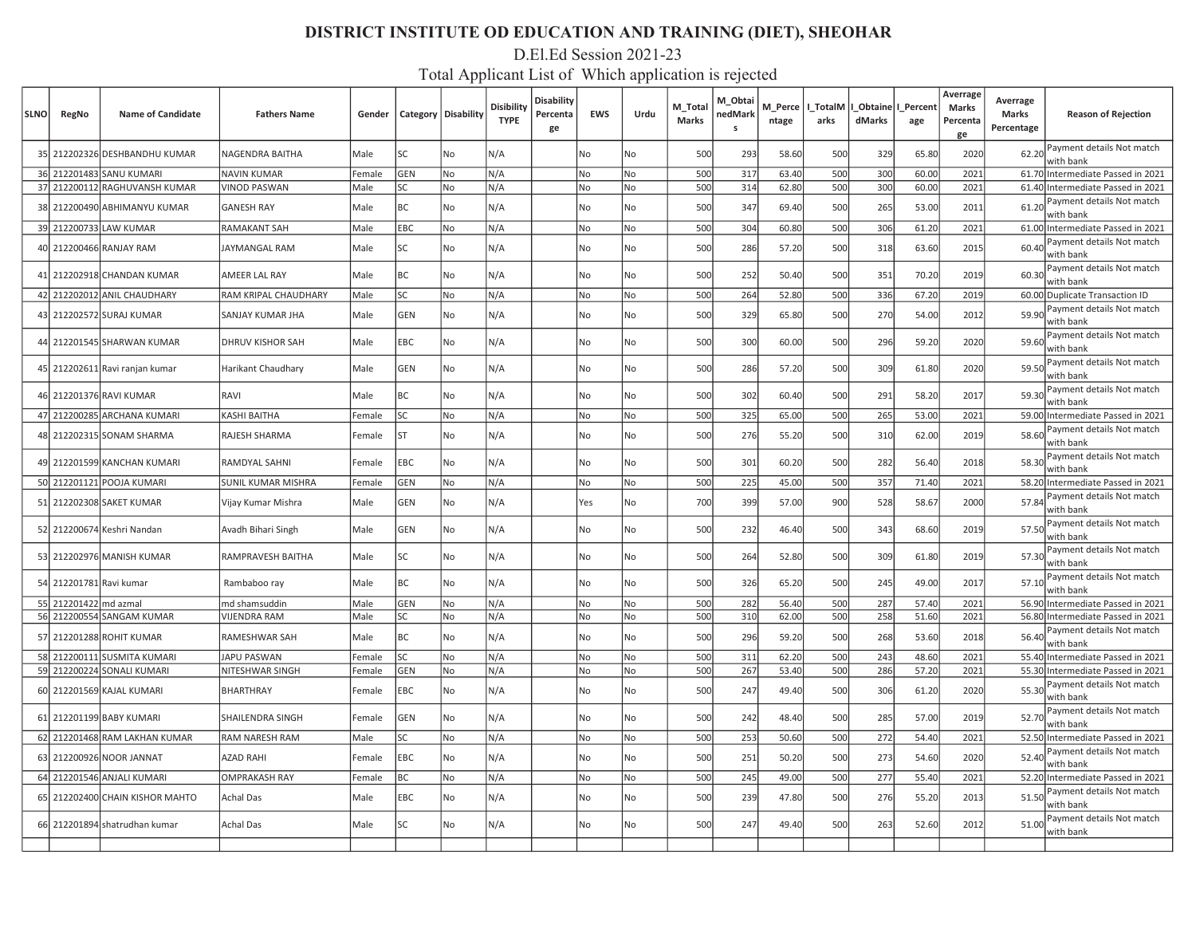# D.El.Ed Session 2021-23

| <b>SLNO</b> | RegNo                   | <b>Name of Candidate</b>        | <b>Fathers Name</b>       | Gender |            | Category   Disability | Disibility<br><b>TYPE</b> | Disability<br>Percenta<br>ge | <b>EWS</b> | Urdu      | M_Total<br><b>Marks</b> | M_Obtai<br>nedMark<br>s | M_Perce<br>ntage | l TotalM<br>arks | I Obtaine<br>dMarks | Percent<br>age | Averrage<br><b>Marks</b><br>Percenta<br>ge | Averrage<br>Marks<br>Percentage | <b>Reason of Rejection</b>             |
|-------------|-------------------------|---------------------------------|---------------------------|--------|------------|-----------------------|---------------------------|------------------------------|------------|-----------|-------------------------|-------------------------|------------------|------------------|---------------------|----------------|--------------------------------------------|---------------------------------|----------------------------------------|
|             |                         | 35 212202326 DESHBANDHU KUMAR   | NAGENDRA BAITHA           | Male   | <b>SC</b>  | <b>No</b>             | N/A                       |                              | No         | No        | 500                     | 293                     | 58.60            | 500              | 329                 | 65.80          | 2020                                       | 62.20                           | Payment details Not match<br>with bank |
|             |                         | 36 212201483 SANU KUMARI        | <b>NAVIN KUMAR</b>        | Female | GEN        | l No                  | N/A                       |                              | No.        | <b>No</b> | 500                     | 317                     | 63.40            | 500              | 300                 | 60.00          | 2021                                       |                                 | 61.70 Intermediate Passed in 2021      |
|             |                         | 37 212200112 RAGHUVANSH KUMAR   | <b>VINOD PASWAN</b>       | Male   | lsc        | No                    | N/A                       |                              | No         | No        | 500                     | 314                     | 62.80            | 500              | 300                 | 60.00          | 2021                                       |                                 | 61.40 Intermediate Passed in 2021      |
|             |                         | 38 212200490 ABHIMANYU KUMAR    | <b>GANESH RAY</b>         | Male   | BC         | No                    | N/A                       |                              | No         | No        | 500                     | 347                     | 69.40            | 500              | 265                 | 53.00          | 2011                                       | 61.20                           | Payment details Not match<br>with bank |
|             |                         | 39 212200733 LAW KUMAR          | RAMAKANT SAH              | Male   | <b>EBC</b> | No                    | N/A                       |                              | No         | No        | 500                     | 304                     | 60.80            | 500              | 306                 | 61.20          | 2021                                       |                                 | 61.00 Intermediate Passed in 2021      |
|             |                         | 40 212200466 RANJAY RAM         | JAYMANGAL RAM             | Male   | lsc        | l No                  | N/A                       |                              | No         | No        | 500                     | 286                     | 57.20            | 500              | 318                 | 63.60          | 2015                                       | 60.40                           | Payment details Not match<br>with bank |
|             |                         | 41 212202918 CHANDAN KUMAR      | AMEER LAL RAY             | Male   | BC         | No                    | N/A                       |                              | No         | No        | 500                     | 252                     | 50.40            | 500              | 351                 | 70.20          | 2019                                       | 60.30                           | Payment details Not match<br>with bank |
|             |                         | 42 212202012 ANIL CHAUDHARY     | RAM KRIPAL CHAUDHARY      | Male   | lsc        | No                    | N/A                       |                              | No         | No        | 500                     | 264                     | 52.80            | 500              | 336                 | 67.20          | 2019                                       |                                 | 60.00 Duplicate Transaction ID         |
|             |                         | 43 212202572 SURAJ KUMAR        | SANJAY KUMAR JHA          | Male   | GEN        | No                    | N/A                       |                              | No         | No        | 500                     | 329                     | 65.80            | 500              | 270                 | 54.00          | 2012                                       | 59.90                           | Payment details Not match<br>with bank |
|             |                         | 44 212201545 SHARWAN KUMAR      | <b>DHRUV KISHOR SAH</b>   | Male   | EBC        | No                    | N/A                       |                              | No         | No        | 500                     | 30 <sup>c</sup>         | 60.00            | 500              | 296                 | 59.20          | 2020                                       | 59.60                           | Payment details Not match<br>with bank |
|             |                         | 45 212202611 Ravi ranjan kumar  | Harikant Chaudhary        | Male   | GEN        | No                    | N/A                       |                              | No         | No        | 500                     | 286                     | 57.20            | 500              | 309                 | 61.80          | 2020                                       | 59.50                           | Payment details Not match<br>with bank |
|             |                         | 46 212201376 RAVI KUMAR         | RAVI                      | Male   | BC         | No                    | N/A                       |                              | No         | No        | 500                     | 302                     | 60.40            | 500              | 291                 | 58.20          | 2017                                       | 59.30                           | Payment details Not match<br>with bank |
|             |                         | 47 212200285 ARCHANA KUMARI     | KASHI BAITHA              | Female | lsc        | No                    | N/A                       |                              | No         | No        | 500                     | 325                     | 65.00            | 500              | 265                 | 53.00          | 2021                                       |                                 | 59.00 Intermediate Passed in 2021      |
|             |                         | 48 212202315 SONAM SHARMA       | RAJESH SHARMA             | Female | lst        | No                    | N/A                       |                              | No         | No        | 500                     | 276                     | 55.20            | 500              | 310                 | 62.00          | 2019                                       | 58.60                           | Payment details Not match<br>with bank |
|             |                         | 49 212201599 KANCHAN KUMARI     | RAMDYAL SAHNI             | Female | <b>EBC</b> | No                    | N/A                       |                              | No         | No        | 500                     | 301                     | 60.20            | 500              | 282                 | 56.40          | 2018                                       | 58.30                           | Payment details Not match<br>with bank |
|             |                         | 50 212201121 POOJA KUMARI       | <b>SUNIL KUMAR MISHRA</b> | Female | <b>GEN</b> | No                    | N/A                       |                              | No         | No        | 500                     | 225                     | 45.00            | 500              | 357                 | 71.40          | 2021                                       |                                 | 58.20 Intermediate Passed in 2021      |
|             |                         | 51 212202308 SAKET KUMAR        | Vijay Kumar Mishra        | Male   | GEN        | No                    | N/A                       |                              | Yes        | No        | 700                     | 399                     | 57.00            | 900              | 528                 | 58.67          | 2000                                       | 57.84                           | Payment details Not match<br>with bank |
|             |                         | 52 212200674 Keshri Nandan      | Avadh Bihari Singh        | Male   | GEN        | No                    | N/A                       |                              | No         | No        | 500                     | 232                     | 46.40            | 500              | 343                 | 68.60          | 2019                                       | 57.50                           | Payment details Not match<br>with bank |
|             |                         | 53 212202976 MANISH KUMAR       | RAMPRAVESH BAITHA         | Male   | lsc        | No                    | N/A                       |                              | No         | No        | 500                     | 264                     | 52.80            | 500              | 309                 | 61.80          | 2019                                       | 57.30                           | Payment details Not match<br>with bank |
|             | 54 212201781 Ravi kumar |                                 | Rambaboo ray              | Male   | BC         | No                    | N/A                       |                              | No         | No        | 500                     | 326                     | 65.20            | 500              | 245                 | 49.00          | 2017                                       | 57.1                            | Payment details Not match<br>with bank |
|             | 55 212201422 md azmal   |                                 | md shamsuddin             | Male   | <b>GEN</b> | No                    | N/A                       |                              | No         | No        | 500                     | 282                     | 56.40            | 500              | 287                 | 57.40          | 2021                                       |                                 | 56.90 Intermediate Passed in 2021      |
|             |                         | 56 212200554 SANGAM KUMAR       | VIJENDRA RAM              | Male   | lsc        | No                    | N/A                       |                              | No         | No        | 500                     | 310                     | 62.00            | 500              | 258                 | 51.60          | 2021                                       |                                 | 56.80 Intermediate Passed in 2021      |
|             |                         | 57 212201288 ROHIT KUMAR        | RAMESHWAR SAH             | Male   | BC         | No                    | N/A                       |                              | No         | No        | 500                     | 296                     | 59.20            | 500              | 268                 | 53.60          | 2018                                       | 56.40                           | Payment details Not match<br>with bank |
|             |                         | 58 212200111 SUSMITA KUMARI     | JAPU PASWAN               | Female | lsc        | No                    | N/A                       |                              | No         | No        | 500                     | 311                     | 62.20            | 500              | 243                 | 48.60          | 2021                                       |                                 | 55.40 Intermediate Passed in 2021      |
|             |                         | 59 212200224 SONALI KUMARI      | NITESHWAR SINGH           | Female | <b>GEN</b> | l No                  | N/A                       |                              | No         | <b>No</b> | 500                     | 267                     | 53.40            | 500              | 286                 | 57.20          | 2021                                       |                                 | 55.30 Intermediate Passed in 2021      |
|             |                         | 60 212201569 KAJAL KUMARI       | <b>BHARTHRAY</b>          | Female | EBC        | No                    | N/A                       |                              | No         | No        | 500                     | 247                     | 49.40            | 500              | 306                 | 61.20          | 2020                                       | 55.30                           | Payment details Not match<br>with bank |
|             |                         | 61 212201199 BABY KUMARI        | SHAILENDRA SINGH          | Female | GEN        | No                    | N/A                       |                              | No         | No        | 500                     | 242                     | 48.40            | 500              | 285                 | 57.00          | 2019                                       | 52.70                           | Payment details Not match<br>with bank |
|             |                         | 62 212201468 RAM LAKHAN KUMAR   | <b>RAM NARESH RAM</b>     | Male   | lsc        | No                    | N/A                       |                              | No         | No        | 500                     | 253                     | 50.60            | 500              | 272                 | 54.40          | 2021                                       |                                 | 52.50 Intermediate Passed in 2021      |
|             |                         | 63 212200926 NOOR JANNAT        | AZAD RAHI                 | Female | EBC        | No                    | N/A                       |                              | No         | No        | 500                     | 251                     | 50.20            | 500              | 273                 | 54.60          | 2020                                       | 52.40                           | Payment details Not match<br>with bank |
|             |                         | 64 212201546 ANJALI KUMARI      | <b>OMPRAKASH RAY</b>      | Female | BC         | No                    | N/A                       |                              | No         | No        | 500                     | 245                     | 49.00            | 500              | 277                 | 55.40          | 2021                                       |                                 | 52.20 Intermediate Passed in 2021      |
|             |                         | 65 212202400 CHAIN KISHOR MAHTO | Achal Das                 | Male   | <b>EBC</b> | No                    | N/A                       |                              | No         | No        | 500                     | 239                     | 47.80            | 500              | 276                 | 55.20          | 2013                                       | 51.50                           | Payment details Not match<br>with bank |
|             |                         | 66 212201894 shatrudhan kumar   | Achal Das                 | Male   | lsc        | No                    | N/A                       |                              | No         | No        | 500                     | 247                     | 49.40            | 500              | 263                 | 52.60          | 2012                                       | 51.00                           | Payment details Not match<br>with bank |
|             |                         |                                 |                           |        |            |                       |                           |                              |            |           |                         |                         |                  |                  |                     |                |                                            |                                 |                                        |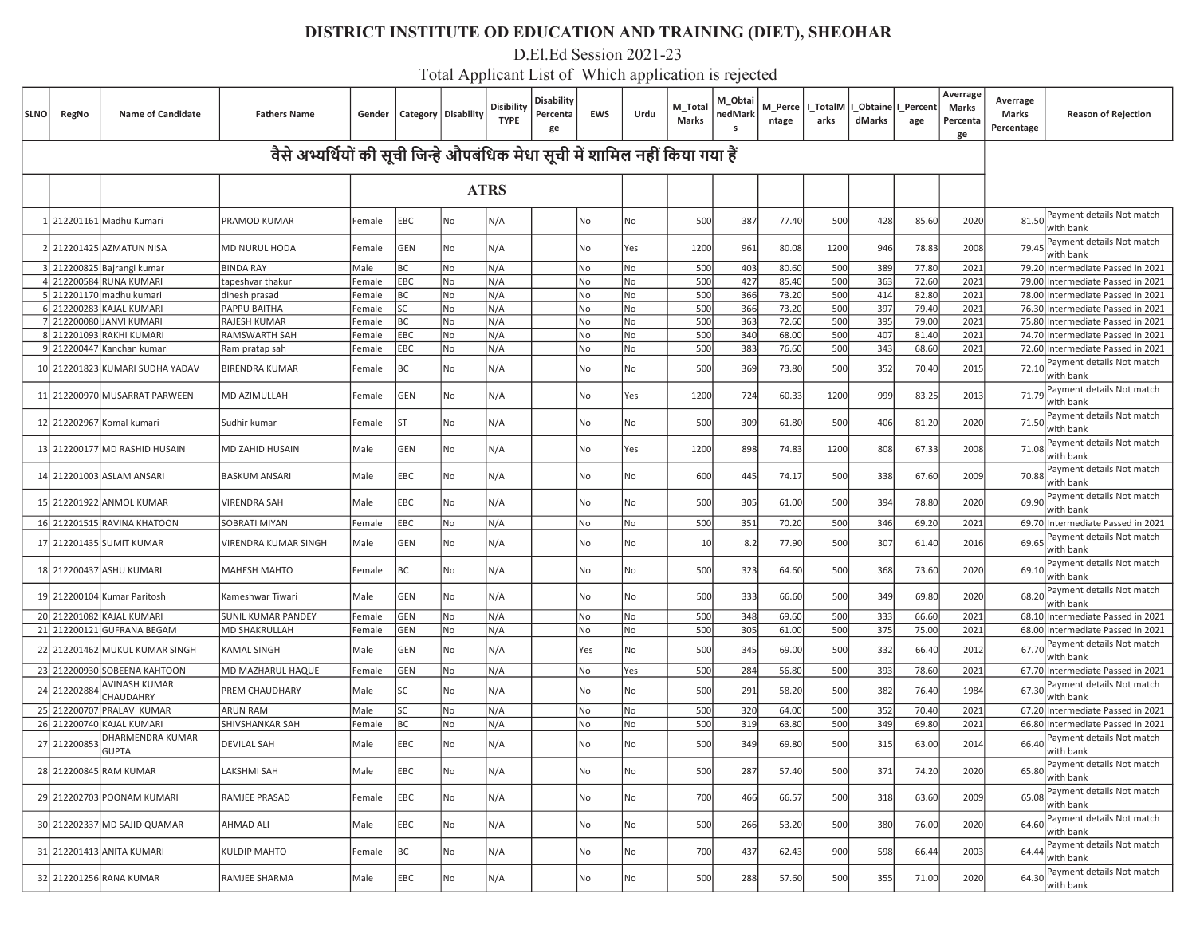D.El.Ed Session 2021-23

| SLNO | RegNo        | <b>Name of Candidate</b>         | <b>Fathers Name</b>                                                           | Gender |            | Category   Disability | <b>Disibility</b><br><b>TYPE</b> | <b>Disability</b><br>Percenta<br>ge | <b>EWS</b> | Urdu | M_Total<br><b>Marks</b> | M_Obtai<br>nedMarŀ<br>S | M Perce<br>ntage | l TotalM<br>arks | Obtaine   I Percent<br>dMarks | age   | Averrage<br>Marks<br>Percenta<br>ge | Averrage<br>Marks<br>Percentage | <b>Reason of Rejection</b>             |
|------|--------------|----------------------------------|-------------------------------------------------------------------------------|--------|------------|-----------------------|----------------------------------|-------------------------------------|------------|------|-------------------------|-------------------------|------------------|------------------|-------------------------------|-------|-------------------------------------|---------------------------------|----------------------------------------|
|      |              |                                  | वैसे अभ्यर्थियों की सूची जिन्हे औपबंधिक मेधा सूची में शामिल नहीं किया गया हैं |        |            |                       |                                  |                                     |            |      |                         |                         |                  |                  |                               |       |                                     |                                 |                                        |
|      |              |                                  |                                                                               |        |            | <b>ATRS</b>           |                                  |                                     |            |      |                         |                         |                  |                  |                               |       |                                     |                                 |                                        |
|      |              | 212201161 Madhu Kumari           | PRAMOD KUMAR                                                                  | Female | EBC        | No                    | N/A                              |                                     | No         | No   | 500                     | 387                     | 77.40            | 500              | 428                           | 85.60 | 2020                                | 81.50                           | Payment details Not match<br>with bank |
|      |              | 2 212201425 AZMATUN NISA         | MD NURUL HODA                                                                 | Female | GEN        | No                    | N/A                              |                                     | No         | Yes  | 1200                    | 961                     | 80.08            | 1200             | 946                           | 78.83 | 2008                                | 79.4                            | Payment details Not match<br>with bank |
|      |              | 3 212200825 Bajrangi kumar       | <b>BINDA RAY</b>                                                              | Male   | ВC         | No                    | N/A                              |                                     | No         | No   | 500                     | 403                     | 80.60            | 500              | 389                           | 77.80 | 2021                                |                                 | 79.20 Intermediate Passed in 2021      |
|      |              | 212200584 RUNA KUMARI            | tapeshvar thakur                                                              | Female | <b>EBC</b> | No                    | N/A                              |                                     | No         | No   | 500                     | 427                     | 85.40            | 500              | 363                           | 72.60 | 2021                                |                                 | 79.00 Intermediate Passed in 2021      |
|      |              | 212201170 madhu kumari           | dinesh prasad                                                                 | Female | BC         | No                    | N/A                              |                                     | No         | No   | 500                     | 366                     | 73.20            | 500              | 414                           | 82.80 | 2021                                |                                 | 78.00 Intermediate Passed in 2021      |
|      |              | 212200283 KAJAL KUMARI           | PAPPU BAITHA                                                                  | Female | SC.        | No                    | N/A                              |                                     | No         | No   | 500                     | 366                     | 73.20            | 500              | 397                           | 79.40 | 2021                                |                                 | 76.30 Intermediate Passed in 2021      |
|      |              | 7 212200080 JANVI KUMARI         | RAJESH KUMAR                                                                  | Female | <b>BC</b>  | No                    | N/A                              |                                     | No         | No   | 500                     | 363                     | 72.60            | 500              | 395                           | 79.00 | 2021                                |                                 | 75.80 Intermediate Passed in 2021      |
|      | 212201093    | RAKHI KUMARI                     | RAMSWARTH SAH                                                                 | Female | <b>EBC</b> | No                    | N/A                              |                                     | No         | No   | 500                     | 340                     | 68.00            | 500              | 407                           | 81.40 | 2021                                | 74.70                           | Intermediate Passed in 2021            |
|      |              | 9 212200447 Kanchan kumari       | Ram pratap sah                                                                | Female | EBC        | No                    | N/A                              |                                     | No         | No   | 500                     | 383                     | 76.60            | 500              | 343                           | 68.60 | 2021                                | 72.60                           | Intermediate Passed in 2021            |
|      |              | 10 212201823 KUMARI SUDHA YADAV  | <b>BIRENDRA KUMAR</b>                                                         | Female | BС         | No                    | N/A                              |                                     | No         | No   | 500                     | 369                     | 73.80            | 500              | 352                           | 70.40 | 2015                                | 72.10                           | Payment details Not match<br>with bank |
|      |              | 11 212200970 MUSARRAT PARWEEN    | MD AZIMULLAH                                                                  | Female | GEN        | No                    | N/A                              |                                     | No         | Yes  | 1200                    | 724                     | 60.33            | 1200             | 999                           | 83.25 | 2013                                | 71.79                           | Payment details Not match<br>with bank |
|      |              | 12 212202967 Komal kumari        | Sudhir kumar                                                                  | Female | ST         | No                    | N/A                              |                                     | No         | No   | 500                     | 309                     | 61.80            | 500              | 406                           | 81.20 | 2020                                | 71.50                           | Payment details Not match<br>with bank |
|      |              | 13 212200177 MD RASHID HUSAIN    | MD ZAHID HUSAIN                                                               | Male   | GEN        | No                    | N/A                              |                                     | No         | Yes  | 1200                    | 898                     | 74.83            | 1200             | 808                           | 67.33 | 2008                                | 71.08                           | Payment details Not match<br>with bank |
|      |              | 14 212201003 ASLAM ANSARI        | <b>BASKUM ANSARI</b>                                                          | Male   | EBC        | No                    | N/A                              |                                     | No         | No   | 600                     | 445                     | 74.17            | 500              | 338                           | 67.60 | 2009                                | 70.88                           | Payment details Not match<br>with bank |
|      |              | 15 212201922 ANMOL KUMAR         | <b>VIRENDRA SAH</b>                                                           | Male   | EBC        | No                    | N/A                              |                                     | No         | No   | 500                     | 305                     | 61.00            | 500              | 394                           | 78.80 | 2020                                | 69.90                           | Payment details Not match<br>with bank |
|      |              | 16 212201515 RAVINA KHATOON      | SOBRATI MIYAN                                                                 | Female | EBC        | No                    | N/A                              |                                     | No         | No   | 500                     | 351                     | 70.20            | 500              | 346                           | 69.20 | 2021                                | 69.70                           | Intermediate Passed in 2021            |
|      |              | 17 212201435 SUMIT KUMAR         | VIRENDRA KUMAR SINGH                                                          | Male   | GEN        | No                    | N/A                              |                                     | No         | No   | 10                      | 8.2                     | 77.90            | 500              | 307                           | 61.40 | 2016                                | 69.6                            | Payment details Not match<br>with bank |
|      |              | 18 212200437 ASHU KUMARI         | <b>MAHESH MAHTO</b>                                                           | Female | ВC         | No                    | N/A                              |                                     | No         | No   | 500                     | 323                     | 64.60            | 500              | 368                           | 73.60 | 2020                                | 69.10                           | Payment details Not match<br>with bank |
|      |              | 19 212200104 Kumar Paritosh      | Kameshwar Tiwari                                                              | Male   | GEN        | No                    | N/A                              |                                     | No         | No   | 500                     | 333                     | 66.60            | 500              | 349                           | 69.80 | 2020                                | 68.20                           | Payment details Not match<br>with bank |
|      |              | 20 212201082 KAJAL KUMARI        | SUNIL KUMAR PANDEY                                                            | Female | GEN        | No                    | N/A                              |                                     | No         | No   | 500                     | 348                     | 69.60            | 500              | 333                           | 66.60 | 2021                                |                                 | 68.10 Intermediate Passed in 2021      |
|      |              | 21 212200121 GUFRANA BEGAM       | <b>MD SHAKRULLAH</b>                                                          | Female | GEN        | No                    | N/A                              |                                     | No         | No   | 500                     | 305                     | 61.00            | 500              | 375                           | 75.00 | 2021                                |                                 | 68.00 Intermediate Passed in 2021      |
|      |              | 22 212201462 MUKUL KUMAR SINGH   | <b>KAMAL SINGH</b>                                                            | Male   | GEN        | No                    | N/A                              |                                     | Yes        | No   | 500                     | 345                     | 69.00            | 500              | 332                           | 66.40 | 2012                                | 67.70                           | Payment details Not match<br>with bank |
|      | 23 212200930 | SOBEENA KAHTOON                  | MD MAZHARUL HAQUE                                                             | Female | <b>GEN</b> | No                    | N/A                              |                                     | No         | Yes  | 500                     | 284                     | 56.80            | 500              | 393                           | 78.60 | 2021                                |                                 | 67.70 Intermediate Passed in 2021      |
|      | 24 212202884 | AVINASH KUMAR<br>CHAUDAHRY       | PREM CHAUDHARY                                                                | Male   | lsc        | No                    | N/A                              |                                     | No         | No   | 500                     | 291                     | 58.20            | 500              | 382                           | 76.40 | 1984                                | 67.30                           | Payment details Not match<br>with bank |
|      |              | 25 212200707 PRALAV KUMAR        | <b>ARUN RAM</b>                                                               | Male   | lsc        | No                    | N/A                              |                                     | No         | No   | 500                     | 320                     | 64.00            | 500              | 352                           | 70.40 | 2021                                |                                 | 67.20 Intermediate Passed in 2021      |
|      | 26 212200740 | KAJAL KUMARI                     | <b>SHIVSHANKAR SAH</b>                                                        | Female | BC         | No                    | N/A                              |                                     | No         | No   | 500                     | 319                     | 63.80            | 500              | 349                           | 69.80 | 2021                                |                                 | 66.80 Intermediate Passed in 2021      |
|      | 27 21220085  | DHARMENDRA KUMAR<br><b>GUPTA</b> | <b>DEVILAL SAH</b>                                                            | Male   | EBC        | No                    | N/A                              |                                     | No         | No   | 500                     | 349                     | 69.80            | 500              | 315                           | 63.00 | 2014                                | 66.40                           | Payment details Not match<br>with bank |
|      |              | 28 212200845 RAM KUMAR           | LAKSHMI SAH                                                                   | Male   | <b>EBC</b> | No                    | N/A                              |                                     | No         | No   | 500                     | 287                     | 57.40            | 500              | 371                           | 74.20 | 2020                                | 65.80                           | Payment details Not match<br>with bank |
|      |              | 29 212202703 POONAM KUMARI       | RAMJEE PRASAD                                                                 | Female | EBC        | No                    | N/A                              |                                     | No         | No   | 700                     | 466                     | 66.57            | 500              | 318                           | 63.60 | 2009                                | 65.08                           | Payment details Not match<br>with bank |
|      |              | 30 212202337 MD SAJID QUAMAR     | AHMAD ALI                                                                     | Male   | EBC        | No                    | N/A                              |                                     | No         | No   | 500                     | 266                     | 53.20            | 500              | 380                           | 76.00 | 2020                                | 64.60                           | Payment details Not match<br>with bank |
|      |              | 31 212201413 ANITA KUMARI        | <b>KULDIP MAHTO</b>                                                           | Female | ВC         | No                    | N/A                              |                                     | No         | No   | 700                     | 437                     | 62.43            | 900              | 598                           | 66.44 | 2003                                | 64.44                           | Payment details Not match<br>with bank |
|      |              | 32 212201256 RANA KUMAR          | RAMJEE SHARMA                                                                 | Male   | EBC        | No                    | N/A                              |                                     | No         | No   | 500                     | 288                     | 57.60            | 500              | 355                           | 71.00 | 2020                                | 64.30                           | Payment details Not match<br>with bank |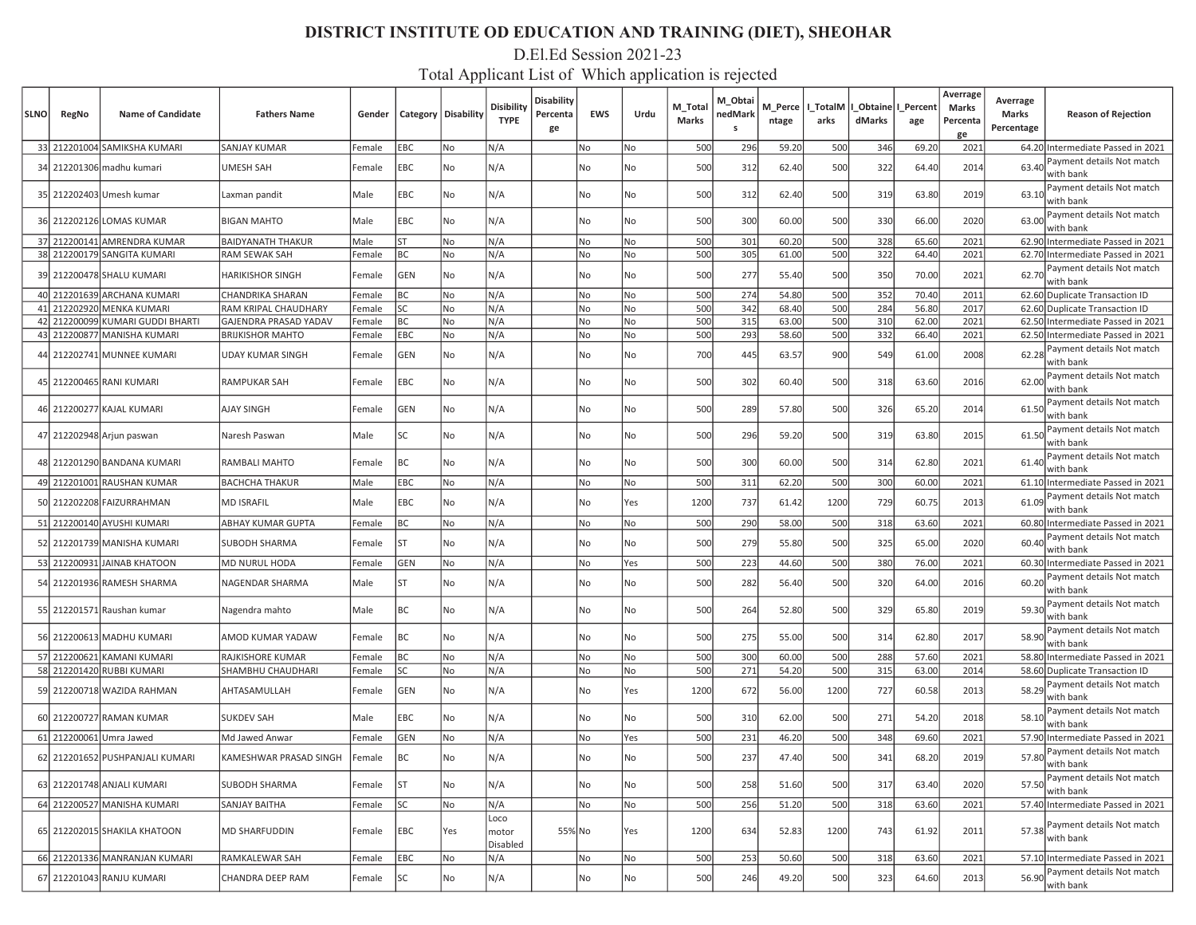#### D.El.Ed Session 2021-23

| <b>SLNO</b> | RegNo | <b>Name of Candidate</b>                                        | <b>Fathers Name</b>                                     | Gender           |                 | Category   Disability | Disibility<br><b>TYPE</b> | <b>Disability</b><br>Percenta<br>ge | <b>EWS</b> | Urdu     | M_Total<br>Marks | M Obtai<br>nedMark<br>s | M_Perce<br>ntage | _TotalM<br>arks | dMarks     | Obtaine   I_Percent  <br>age | Averrage<br>Marks<br>Percenta<br>ge | Averrage<br>Marks<br>Percentage | <b>Reason of Rejection</b>                                             |
|-------------|-------|-----------------------------------------------------------------|---------------------------------------------------------|------------------|-----------------|-----------------------|---------------------------|-------------------------------------|------------|----------|------------------|-------------------------|------------------|-----------------|------------|------------------------------|-------------------------------------|---------------------------------|------------------------------------------------------------------------|
|             |       | 33 212201004 SAMIKSHA KUMARI                                    | <b>SANJAY KUMAR</b>                                     | Female           | EBC             | No                    | N/A                       |                                     | No         | No       | 500              | 296                     | 59.20            | 500             | 346        | 69.20                        | 2021                                |                                 | 64.20 Intermediate Passed in 2021                                      |
|             |       | 34 212201306 madhu kumari                                       | <b>UMESH SAH</b>                                        | Female           | <b>EBC</b>      | No                    | N/A                       |                                     | No         | No       | 500              | 312                     | 62.40            | 500             | 322        | 64.40                        | 2014                                | 63.40                           | Payment details Not match<br>with bank                                 |
|             |       | 35 212202403 Umesh kumar                                        | Laxman pandit                                           | Male             | <b>EBC</b>      | <b>No</b>             | N/A                       |                                     | No         | No       | 500              | 312                     | 62.40            | 500             | 319        | 63.80                        | 2019                                | 63.10                           | Payment details Not match<br>with bank                                 |
|             |       | 36 212202126 LOMAS KUMAR                                        | <b>BIGAN MAHTO</b>                                      | Male             | <b>EBC</b>      | No                    | N/A                       |                                     | No         | No       | 500              | 300                     | 60.00            | 500             | 330        | 66.00                        | 2020                                | 63.00                           | Payment details Not match<br>with bank                                 |
|             |       | 37 212200141 AMRENDRA KUMAR                                     | <b>BAIDYANATH THAKUR</b>                                | Male             | ST              | No                    | N/A                       |                                     | No         | No       | 500              | 301                     | 60.20            | 500             | 328        | 65.60                        | 2021                                |                                 | 62.90 Intermediate Passed in 2021                                      |
|             |       | 38 212200179 SANGITA KUMARI                                     | RAM SEWAK SAH                                           | Female           | BC              | No                    | N/A                       |                                     | No         | No       | 500              | 305                     | 61.00            | 500             | 322        | 64.40                        | 2021                                |                                 | 62.70 Intermediate Passed in 2021                                      |
|             |       | 39 212200478 SHALU KUMARI                                       | <b>HARIKISHOR SINGH</b>                                 | Female           | <b>GEN</b>      | No                    | N/A                       |                                     | No         | No       | 500              | 277                     | 55.40            | 500             | 350        | 70.00                        | 2021                                | 62.70                           | Payment details Not match<br>with bank                                 |
|             |       | 40 212201639 ARCHANA KUMARI                                     | CHANDRIKA SHARAN                                        | Female           | <b>BC</b>       | No                    | N/A                       |                                     | No         | No       | 500              | 274                     | 54.80            | 500             | 352        | 70.40                        | 2011                                |                                 | 62.60 Duplicate Transaction ID                                         |
|             |       | 41 212202920 MENKA KUMARI                                       | RAM KRIPAL CHAUDHARY                                    | Female           | lsc             | No                    | N/A                       |                                     | No         | No       | 500              | 342                     | 68.40            | 500             | 284        | 56.80                        | 2017                                |                                 | 62.60 Duplicate Transaction ID                                         |
|             |       | 42 212200099 KUMARI GUDDI BHARTI<br>43 212200877 MANISHA KUMARI | <b>GAJENDRA PRASAD YADAV</b><br><b>BRIJKISHOR MAHTO</b> | Female           | BC<br>EBC       | No<br>No              | N/A<br>N/A                |                                     | No<br>No   | No<br>No | 500<br>500       | 315<br>293              | 63.00<br>58.60   | 500<br>500      | 310<br>332 | 62.00<br>66.40               | 2021<br>2021                        |                                 | 62.50 Intermediate Passed in 2021<br>62.50 Intermediate Passed in 2021 |
|             |       | 44 212202741 MUNNEE KUMARI                                      | <b>UDAY KUMAR SINGH</b>                                 | Female<br>Female | GEN             | No                    | N/A                       |                                     | No         | No       | 700              | 445                     | 63.57            | 900             | 549        | 61.00                        | 2008                                | 62.28                           | Payment details Not match<br>with bank                                 |
|             |       | 45 212200465 RANI KUMARI                                        | <b>RAMPUKAR SAH</b>                                     | Female           | EBC             | No                    | N/A                       |                                     | No         | No       | 500              | 302                     | 60.40            | 500             | 318        | 63.60                        | 2016                                | 62.00                           | Payment details Not match<br>with bank                                 |
|             |       | 46 212200277 KAJAL KUMARI                                       | <b>AJAY SINGH</b>                                       | Female           | <b>GEN</b>      | No                    | N/A                       |                                     | No         | No       | 500              | 289                     | 57.80            | 500             | 326        | 65.20                        | 2014                                | 61.50                           | Payment details Not match<br>with bank                                 |
|             |       | 47 212202948 Arjun paswan                                       | Naresh Paswan                                           | Male             | SC              | No                    | N/A                       |                                     | No         | No       | 500              | 296                     | 59.20            | 500             | 319        | 63.80                        | 2015                                | 61.50                           | Payment details Not match<br>with bank                                 |
|             |       | 48 212201290 BANDANA KUMARI                                     | RAMBALI MAHTO                                           | Female           | BC              | No                    | N/A                       |                                     | No         | No       | 500              | 300                     | 60.00            | 500             | 314        | 62.80                        | 2021                                | 61.40                           | Payment details Not match<br>with bank                                 |
|             |       | 49 212201001 RAUSHAN KUMAR                                      | BACHCHA THAKUR                                          | Male             | <b>EBC</b>      | No                    | N/A                       |                                     | No         | No       | 500              | 311                     | 62.20            | 500             | 300        | 60.00                        | 2021                                |                                 | 61.10 Intermediate Passed in 2021                                      |
|             |       | 50 212202208 FAIZURRAHMAN                                       | <b>MD ISRAFIL</b>                                       | Male             | <b>EBC</b>      | No                    | N/A                       |                                     | No         | Yes      | 1200             | 737                     | 61.42            | 1200            | 729        | 60.75                        | 2013                                | 61.09                           | Payment details Not match<br>with bank                                 |
|             |       | 51 212200140 AYUSHI KUMARI                                      | ABHAY KUMAR GUPTA                                       | Female           | BC              | No                    | N/A                       |                                     | No         | No       | 500              | 290                     | 58.00            | 500             | 318        | 63.60                        | 2021                                |                                 | 60.80 Intermediate Passed in 2021                                      |
|             |       | 52 212201739 MANISHA KUMARI                                     | SUBODH SHARMA                                           | Female           | lst             | No                    | N/A                       |                                     | No         | No       | 500              | 279                     | 55.80            | 500             | 325        | 65.00                        | 2020                                | 60.40                           | Payment details Not match<br>with bank                                 |
|             |       | 53 212200931 JAINAB KHATOON                                     | MD NURUL HODA                                           | Female           | GEN             | No                    | N/A                       |                                     | No         | Yes      | 500              | 223                     | 44.60            | 500             | 380        | 76.00                        | 2021                                |                                 | 60.30 Intermediate Passed in 2021                                      |
|             |       | 54 212201936 RAMESH SHARMA                                      | NAGENDAR SHARMA                                         | Male             | lst             | No                    | N/A                       |                                     | No         | No       | 500              | 282                     | 56.40            | 500             | 320        | 64.00                        | 2016                                | 60.20                           | Payment details Not match<br>with bank                                 |
|             |       | 55 212201571 Raushan kumar                                      | Nagendra mahto                                          | Male             | BC              | No                    | N/A                       |                                     | No         | No       | 500              | 264                     | 52.80            | 500             | 329        | 65.80                        | 2019                                | 59.30                           | Payment details Not match<br>with bank                                 |
|             |       | 56 212200613 MADHU KUMARI                                       | AMOD KUMAR YADAW                                        | Female           | BC              | No                    | N/A                       |                                     | No         | No       | 500              | 275                     | 55.00            | 500             | 314        | 62.80                        | 2017                                | 58.90                           | Payment details Not match<br>with bank                                 |
|             |       | 57 212200621 KAMANI KUMARI<br>58 212201420 RUBBI KUMARI         | <b>RAJKISHORE KUMAR</b><br>SHAMBHU CHAUDHARI            | Female<br>Female | BC<br><b>SC</b> | No<br>No              | N/A<br>N/A                |                                     | No<br>No   | No<br>No | 500<br>500       | 300<br>271              | 60.00<br>54.20   | 500<br>500      | 288<br>315 | 57.60<br>63.00               | 2021<br>2014                        |                                 | 58.80 Intermediate Passed in 2021<br>58.60 Duplicate Transaction ID    |
|             |       | 59 212200718 WAZIDA RAHMAN                                      | AHTASAMULLAH                                            | Female           | <b>GEN</b>      | No                    | N/A                       |                                     | No         | Yes      | 1200             | 672                     | 56.00            | 1200            | 727        | 60.58                        | 2013                                | 58.2                            | Payment details Not match<br>with bank                                 |
|             |       | 60 212200727 RAMAN KUMAR                                        | <b>SUKDEV SAH</b>                                       | Male             | EBC             | No                    | N/A                       |                                     | No         | No       | 500              | 310                     | 62.00            | 500             | 271        | 54.20                        | 2018                                | 58.10                           | Payment details Not match<br>with bank                                 |
|             |       | 61 212200061 Umra Jawed                                         | Md Jawed Anwar                                          | Female           | <b>GEN</b>      | No                    | N/A                       |                                     | No         | Yes      | 500              | 231                     | 46.20            | 500             | 348        | 69.60                        | 2021                                |                                 | 57.90 Intermediate Passed in 2021                                      |
|             |       | 62 212201652 PUSHPANJALI KUMARI                                 | KAMESHWAR PRASAD SINGH                                  | Female           | BC              | No                    | N/A                       |                                     | No         | No       | 500              | 237                     | 47.40            | 500             | 341        | 68.20                        | 2019                                | 57.80                           | Payment details Not match<br>with bank                                 |
|             |       | 63 212201748 ANJALI KUMARI                                      | SUBODH SHARMA                                           | Female           | <b>ST</b>       | No                    | N/A                       |                                     | No         | No       | 500              | 258                     | 51.60            | 500             | 317        | 63.40                        | 2020                                |                                 | 57.50 Payment details Not match<br>with bank                           |
|             |       | 64 212200527 MANISHA KUMARI                                     | <b>SANJAY BAITHA</b>                                    | Female           | SC              | No                    | N/A                       |                                     | No         | No       | 500              | 256                     | 51.20            | 500             | 318        | 63.60                        | 2021                                |                                 | 57.40 Intermediate Passed in 2021                                      |
|             |       | 65 212202015 SHAKILA KHATOON                                    | <b>MD SHARFUDDIN</b>                                    | Female           | EBC             | Yes                   | Loco<br>motor<br>Disabled | 55% No                              |            | Yes      | 1200             | 634                     | 52.83            | 1200            | 743        | 61.92                        | 2011                                | 57.38                           | Payment details Not match<br>with bank                                 |
|             |       | 66 212201336 MANRANJAN KUMARI                                   | RAMKALEWAR SAH                                          | Female           | <b>EBC</b>      | No                    | N/A                       |                                     | No         | No       | 500              | 253                     | 50.60            | 500             | 318        | 63.60                        | 2021                                |                                 | 57.10 Intermediate Passed in 2021                                      |
|             |       | 67 212201043 RANJU KUMARI                                       | CHANDRA DEEP RAM                                        | Female           | SC              | No                    | N/A                       |                                     | No         | No       | 500              | 246                     | 49.20            | 500             | 323        | 64.60                        | 2013                                | 56.90                           | Payment details Not match<br>with bank                                 |